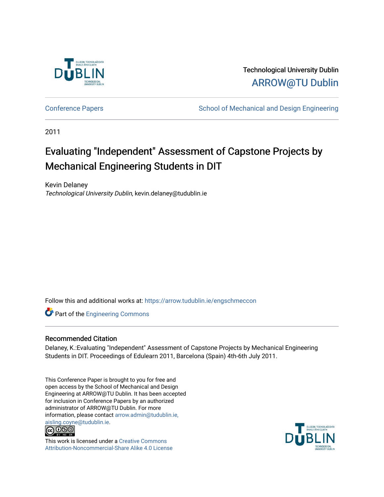

Technological University Dublin [ARROW@TU Dublin](https://arrow.tudublin.ie/) 

[Conference Papers](https://arrow.tudublin.ie/engschmeccon) **School of Mechanical and Design Engineering** School of Mechanical and Design Engineering

2011

# Evaluating "Independent" Assessment of Capstone Projects by Mechanical Engineering Students in DIT

Kevin Delaney Technological University Dublin, kevin.delaney@tudublin.ie

Follow this and additional works at: [https://arrow.tudublin.ie/engschmeccon](https://arrow.tudublin.ie/engschmeccon?utm_source=arrow.tudublin.ie%2Fengschmeccon%2F42&utm_medium=PDF&utm_campaign=PDFCoverPages) 

**Part of the [Engineering Commons](http://network.bepress.com/hgg/discipline/217?utm_source=arrow.tudublin.ie%2Fengschmeccon%2F42&utm_medium=PDF&utm_campaign=PDFCoverPages)** 

#### Recommended Citation

Delaney, K.:Evaluating "Independent" Assessment of Capstone Projects by Mechanical Engineering Students in DIT. Proceedings of Edulearn 2011, Barcelona (Spain) 4th-6th July 2011.

This Conference Paper is brought to you for free and open access by the School of Mechanical and Design Engineering at ARROW@TU Dublin. It has been accepted for inclusion in Conference Papers by an authorized administrator of ARROW@TU Dublin. For more information, please contact [arrow.admin@tudublin.ie,](mailto:arrow.admin@tudublin.ie,%20aisling.coyne@tudublin.ie)  [aisling.coyne@tudublin.ie.](mailto:arrow.admin@tudublin.ie,%20aisling.coyne@tudublin.ie)<br>© 090



This work is licensed under a [Creative Commons](http://creativecommons.org/licenses/by-nc-sa/4.0/) [Attribution-Noncommercial-Share Alike 4.0 License](http://creativecommons.org/licenses/by-nc-sa/4.0/)

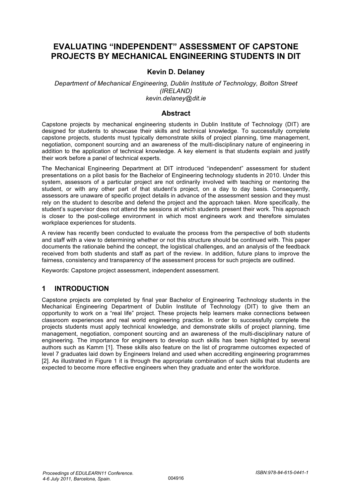## **EVALUATING "INDEPENDENT" ASSESSMENT OF CAPSTONE PROJECTS BY MECHANICAL ENGINEERING STUDENTS IN DIT**

#### **Kevin D. Delaney**

#### *Department of Mechanical Engineering, Dublin Institute of Technology, Bolton Street (IRELAND) kevin.delaney@dit.ie*

#### **Abstract**

Capstone projects by mechanical engineering students in Dublin Institute of Technology (DIT) are designed for students to showcase their skills and technical knowledge. To successfully complete capstone projects, students must typically demonstrate skills of project planning, time management, negotiation, component sourcing and an awareness of the multi-disciplinary nature of engineering in addition to the application of technical knowledge. A key element is that students explain and justify their work before a panel of technical experts.

The Mechanical Engineering Department at DIT introduced "independent" assessment for student presentations on a pilot basis for the Bachelor of Engineering technology students in 2010. Under this system, assessors of a particular project are not ordinarily involved with teaching or mentoring the student, or with any other part of that student's project, on a day to day basis. Consequently, assessors are unaware of specific project details in advance of the assessment session and they must rely on the student to describe and defend the project and the approach taken. More specifically, the student's supervisor does not attend the sessions at which students present their work. This approach is closer to the post-college environment in which most engineers work and therefore simulates workplace experiences for students.

A review has recently been conducted to evaluate the process from the perspective of both students and staff with a view to determining whether or not this structure should be continued with. This paper documents the rationale behind the concept, the logistical challenges, and an analysis of the feedback received from both students and staff as part of the review. In addition, future plans to improve the fairness, consistency and transparency of the assessment process for such projects are outlined.

Keywords: Capstone project assessment, independent assessment.

#### **1 INTRODUCTION**

Capstone projects are completed by final year Bachelor of Engineering Technology students in the Mechanical Engineering Department of Dublin Institute of Technology (DIT) to give them an opportunity to work on a "real life" project. These projects help learners make connections between classroom experiences and real world engineering practice. In order to successfully complete the projects students must apply technical knowledge, and demonstrate skills of project planning, time management, negotiation, component sourcing and an awareness of the multi-disciplinary nature of engineering. The importance for engineers to develop such skills has been highlighted by several authors such as Kamm [1]. These skills also feature on the list of programme outcomes expected of level 7 graduates laid down by Engineers Ireland and used when accrediting engineering programmes [2]. As illustrated in Figure 1 it is through the appropriate combination of such skills that students are expected to become more effective engineers when they graduate and enter the workforce.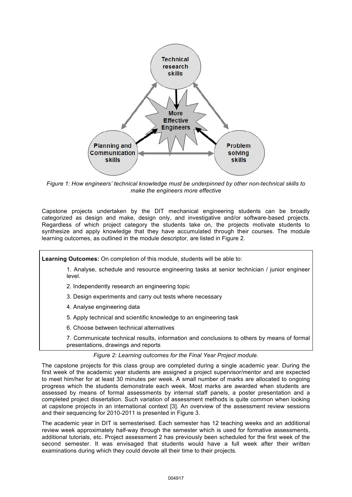

*Figure 1: How engineers' technical knowledge must be underpinned by other non-technical skills to make the engineers more effective* 

Capstone projects undertaken by the DIT mechanical engineering students can be broadly categorized as design and make, design only, and investigative and/or software-based projects. Regardless of which project category the students take on, the projects motivate students to synthesize and apply knowledge that they have accumulated through their courses. The module learning outcomes, as outlined in the module descriptor, are listed in Figure 2.

**Learning Outcomes:** On completion of this module, students will be able to:

1. Analyse, schedule and resource engineering tasks at senior technician / junior engineer level.

- 2. Independently research an engineering topic
- 3. Design experiments and carry out tests where necessary
- 4. Analyse engineering data
- 5. Apply technical and scientific knowledge to an engineering task
- 6. Choose between technical alternatives
- 7. Communicate technical results, information and conclusions to others by means of formal presentations, drawings and reports

#### *Figure 2: Learning outcomes for the Final Year Project module.*

The capstone projects for this class group are completed during a single academic year. During the first week of the academic year students are assigned a project supervisor/mentor and are expected to meet him/her for at least 30 minutes per week. A small number of marks are allocated to ongoing progress which the students demonstrate each week. Most marks are awarded when students are assessed by means of formal assessments by internal staff panels, a poster presentation and a completed project dissertation. Such variation of assessment methods is quite common when looking at capstone projects in an international context [3]. An overview of the assessment review sessions and their sequencing for 2010-2011 is presented in Figure 3.

The academic year in DIT is semesterised. Each semester has 12 teaching weeks and an additional review week approximately half-way through the semester which is used for formative assessments, additional tutorials, etc. Project assessment 2 has previously been scheduled for the first week of the second semester. It was envisaged that students would have a full week after their written examinations during which they could devote all their time to their projects.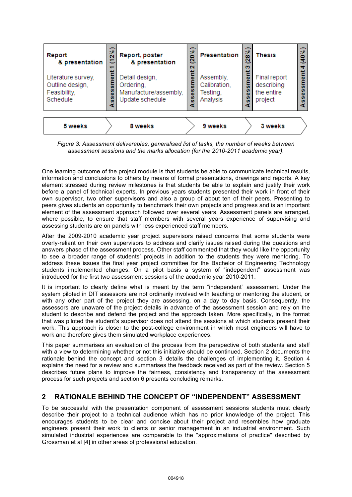

*Figure 3: Assessment deliverables, generalised list of tasks, the number of weeks between assessment sessions and the marks allocation (for the 2010-2011 academic year).* 

One learning outcome of the project module is that students be able to communicate technical results, information and conclusions to others by means of formal presentations, drawings and reports. A key element stressed during review milestones is that students be able to explain and justify their work before a panel of technical experts. In previous years students presented their work in front of their own supervisor, two other supervisors and also a group of about ten of their peers. Presenting to peers gives students an opportunity to benchmark their own projects and progress and is an important element of the assessment approach followed over several years. Assessment panels are arranged, where possible, to ensure that staff members with several years experience of supervising and assessing students are on panels with less experienced staff members.

After the 2009-2010 academic year project supervisors raised concerns that some students were overly-reliant on their own supervisors to address and clarify issues raised during the questions and answers phase of the assessment process. Other staff commented that they would like the opportunity to see a broader range of students' projects in addition to the students they were mentoring. To address these issues the final year project committee for the Bachelor of Engineering Technology students implemented changes. On a pilot basis a system of "independent" assessment was introduced for the first two assessment sessions of the academic year 2010-2011.

It is important to clearly define what is meant by the term "independent" assessment. Under the system piloted in DIT assessors are not ordinarily involved with teaching or mentoring the student, or with any other part of the project they are assessing, on a day to day basis. Consequently, the assessors are unaware of the project details in advance of the assessment session and rely on the student to describe and defend the project and the approach taken. More specifically, in the format that was piloted the student's supervisor does not attend the sessions at which students present their work. This approach is closer to the post-college environment in which most engineers will have to work and therefore gives them simulated workplace experiences.

This paper summarises an evaluation of the process from the perspective of both students and staff with a view to determining whether or not this initiative should be continued. Section 2 documents the rationale behind the concept and section 3 details the challenges of implementing it. Section 4 explains the need for a review and summarises the feedback received as part of the review. Section 5 describes future plans to improve the fairness, consistency and transparency of the assessment process for such projects and section 6 presents concluding remarks.

#### **2 RATIONALE BEHIND THE CONCEPT OF "INDEPENDENT" ASSESSMENT**

To be successful with the presentation component of assessment sessions students must clearly describe their project to a technical audience which has no prior knowledge of the project. This encourages students to be clear and concise about their project and resembles how graduate engineers present their work to clients or senior management in an industrial environment. Such simulated industrial experiences are comparable to the "approximations of practice" described by Grossman et al [4] in other areas of professional education.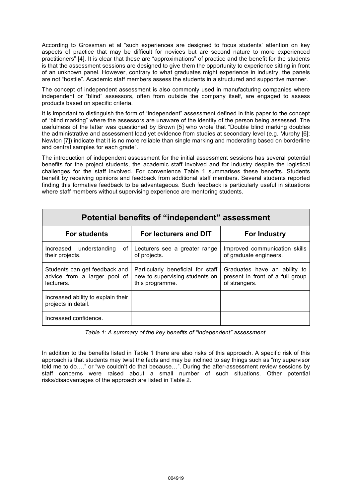According to Grossman et al "such experiences are designed to focus students' attention on key aspects of practice that may be difficult for novices but are second nature to more experienced practitioners" [4]. It is clear that these are "approximations" of practice and the benefit for the students is that the assessment sessions are designed to give them the opportunity to experience sitting in front of an unknown panel. However, contrary to what graduates might experience in industry, the panels are not "hostile". Academic staff members assess the students in a structured and supportive manner.

The concept of independent assessment is also commonly used in manufacturing companies where independent or "blind" assessors, often from outside the company itself, are engaged to assess products based on specific criteria.

It is important to distinguish the form of "independent" assessment defined in this paper to the concept of "blind marking" where the assessors are unaware of the identity of the person being assessed. The usefulness of the latter was questioned by Brown [5] who wrote that "Double blind marking doubles the administrative and assessment load yet evidence from studies at secondary level (e.g. Murphy [6]; Newton [7]) indicate that it is no more reliable than single marking and moderating based on borderline and central samples for each grade".

The introduction of independent assessment for the initial assessment sessions has several potential benefits for the project students, the academic staff involved and for industry despite the logistical challenges for the staff involved. For convenience Table 1 summarises these benefits. Students benefit by receiving opinions and feedback from additional staff members. Several students reported finding this formative feedback to be advantageous. Such feedback is particularly useful in situations where staff members without supervising experience are mentoring students.

| Potential benefits of "independent" assessment                              |                                                                                        |                                                                                   |  |
|-----------------------------------------------------------------------------|----------------------------------------------------------------------------------------|-----------------------------------------------------------------------------------|--|
| <b>For students</b>                                                         | For lecturers and DIT                                                                  | <b>For Industry</b>                                                               |  |
| Increased understanding<br>of I<br>their projects.                          | Lecturers see a greater range<br>of projects.                                          | Improved communication skills<br>of graduate engineers.                           |  |
| Students can get feedback and<br>advice from a larger pool of<br>lecturers. | Particularly beneficial for staff<br>new to supervising students on<br>this programme. | Graduates have an ability to<br>present in front of a full group<br>of strangers. |  |
| Increased ability to explain their<br>projects in detail.                   |                                                                                        |                                                                                   |  |
| Increased confidence.                                                       |                                                                                        |                                                                                   |  |

*Table 1: A summary of the key benefits of "independent" assessment.* 

In addition to the benefits listed in Table 1 there are also risks of this approach. A specific risk of this approach is that students may twist the facts and may be inclined to say things such as "my supervisor told me to do…." or "we couldn't do that because…". During the after-assessment review sessions by staff concerns were raised about a small number of such situations. Other potential risks/disadvantages of the approach are listed in Table 2.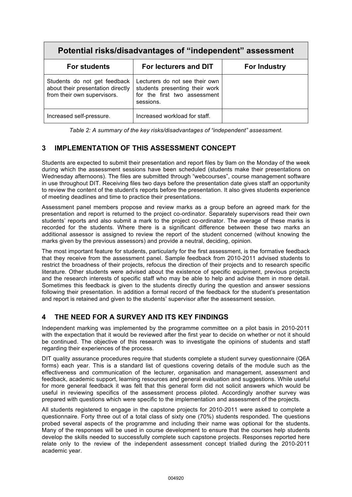| Potential risks/disadvantages of "independent" assessment                                        |                                                                                                               |                     |  |
|--------------------------------------------------------------------------------------------------|---------------------------------------------------------------------------------------------------------------|---------------------|--|
| <b>For students</b>                                                                              | For lecturers and DIT                                                                                         | <b>For Industry</b> |  |
| Students do not get feedback<br>about their presentation directly<br>from their own supervisors. | Lecturers do not see their own<br>students presenting their work<br>for the first two assessment<br>sessions. |                     |  |
| Increased self-pressure.                                                                         | Increased workload for staff.                                                                                 |                     |  |

*Table 2: A summary of the key risks/disadvantages of "independent" assessment.* 

## **3 IMPLEMENTATION OF THIS ASSESSMENT CONCEPT**

Students are expected to submit their presentation and report files by 9am on the Monday of the week during which the assessment sessions have been scheduled (students make their presentations on Wednesday afternoons). The files are submitted through "webcourses", course management software in use throughout DIT. Receiving files two days before the presentation date gives staff an opportunity to review the content of the student's reports before the presentation. It also gives students experience of meeting deadlines and time to practice their presentations.

Assessment panel members propose and review marks as a group before an agreed mark for the presentation and report is returned to the project co-ordinator. Separately supervisors read their own students' reports and also submit a mark to the project co-ordinator. The average of these marks is recorded for the students. Where there is a significant difference between these two marks an additional assessor is assigned to review the report of the student concerned (without knowing the marks given by the previous assessors) and provide a neutral, deciding, opinion.

The most important feature for students, particularly for the first assessment, is the formative feedback that they receive from the assessment panel. Sample feedback from 2010-2011 advised students to restrict the broadness of their projects, refocus the direction of their projects and to research specific literature. Other students were advised about the existence of specific equipment, previous projects and the research interests of specific staff who may be able to help and advise them in more detail. Sometimes this feedback is given to the students directly during the question and answer sessions following their presentation. In addition a formal record of the feedback for the student's presentation and report is retained and given to the students' supervisor after the assessment session.

## **4 THE NEED FOR A SURVEY AND ITS KEY FINDINGS**

Independent marking was implemented by the programme committee on a pilot basis in 2010-2011 with the expectation that it would be reviewed after the first year to decide on whether or not it should be continued. The objective of this research was to investigate the opinions of students and staff regarding their experiences of the process.

DIT quality assurance procedures require that students complete a student survey questionnaire (Q6A forms) each year. This is a standard list of questions covering details of the module such as the effectiveness and communication of the lecturer, organisation and management, assessment and feedback, academic support, learning resources and general evaluation and suggestions. While useful for more general feedback it was felt that this general form did not solicit answers which would be useful in reviewing specifics of the assessment process piloted. Accordingly another survey was prepared with questions which were specific to the implementation and assessment of the projects.

All students registered to engage in the capstone projects for 2010-2011 were asked to complete a questionnaire. Forty three out of a total class of sixty one (70%) students responded. The questions probed several aspects of the programme and including their name was optional for the students. Many of the responses will be used in course development to ensure that the courses help students develop the skills needed to successfully complete such capstone projects. Responses reported here relate only to the review of the independent assessment concept trialled during the 2010-2011 academic year.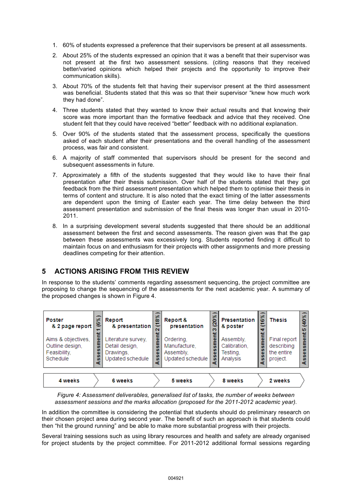- 1. 60% of students expressed a preference that their supervisors be present at all assessments.
- 2. About 25% of the students expressed an opinion that it was a benefit that their supervisor was not present at the first two assessment sessions. (citing reasons that they received better/varied opinions which helped their projects and the opportunity to improve their communication skills).
- 3. About 70% of the students felt that having their supervisor present at the third assessment was beneficial. Students stated that this was so that their supervisor "knew how much work they had done".
- 4. Three students stated that they wanted to know their actual results and that knowing their score was more important than the formative feedback and advice that they received. One student felt that they could have received "better" feedback with no additional explanation.
- 5. Over 90% of the students stated that the assessment process, specifically the questions asked of each student after their presentations and the overall handling of the assessment process, was fair and consistent.
- 6. A majority of staff commented that supervisors should be present for the second and subsequent assessments in future.
- 7. Approximately a fifth of the students suggested that they would like to have their final presentation after their thesis submission. Over half of the students stated that they got feedback from the third assessment presentation which helped them to optimise their thesis in terms of content and structure. It is also noted that the exact timing of the latter assessments are dependent upon the timing of Easter each year. The time delay between the third assessment presentation and submission of the final thesis was longer than usual in 2010- 2011.
- 8. In a surprising development several students suggested that there should be an additional assessment between the first and second assessments. The reason given was that the gap between these assessments was excessively long. Students reported finding it difficult to maintain focus on and enthusiasm for their projects with other assignments and more pressing deadlines competing for their attention.

#### **5 ACTIONS ARISING FROM THIS REVIEW**

In response to the students' comments regarding assessment sequencing, the project committee are proposing to change the sequencing of the assessments for the next academic year. A summary of the proposed changes is shown in Figure 4.



*Figure 4: Assessment deliverables, generalised list of tasks, the number of weeks between assessment sessions and the marks allocation (proposed for the 2011-2012 academic year).* 

In addition the committee is considering the potential that students should do preliminary research on their chosen project area during second year. The benefit of such an approach is that students could then "hit the ground running" and be able to make more substantial progress with their projects.

Several training sessions such as using library resources and health and safety are already organised for project students by the project committee. For 2011-2012 additional formal sessions regarding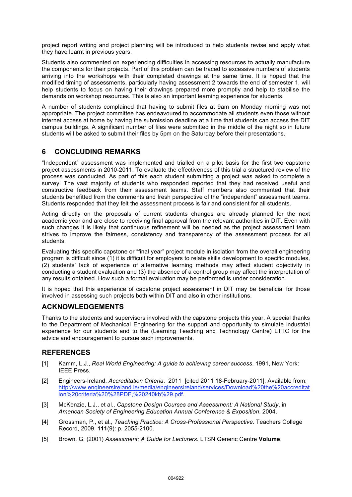project report writing and project planning will be introduced to help students revise and apply what they have learnt in previous years.

Students also commented on experiencing difficulties in accessing resources to actually manufacture the components for their projects. Part of this problem can be traced to excessive numbers of students arriving into the workshops with their completed drawings at the same time. It is hoped that the modified timing of assessments, particularly having assessment 2 towards the end of semester 1, will help students to focus on having their drawings prepared more promptly and help to stabilise the demands on workshop resources. This is also an important learning experience for students.

A number of students complained that having to submit files at 9am on Monday morning was not appropriate. The project committee has endeavoured to accommodate all students even those without internet access at home by having the submission deadline at a time that students can access the DIT campus buildings. A significant number of files were submitted in the middle of the night so in future students will be asked to submit their files by 5pm on the Saturday before their presentations.

## **6 CONCLUDING REMARKS**

"Independent" assessment was implemented and trialled on a pilot basis for the first two capstone project assessments in 2010-2011. To evaluate the effectiveness of this trial a structured review of the process was conducted. As part of this each student submitting a project was asked to complete a survey. The vast majority of students who responded reported that they had received useful and constructive feedback from their assessment teams. Staff members also commented that their students benefitted from the comments and fresh perspective of the "independent" assessment teams. Students responded that they felt the assessment process is fair and consistent for all students.

Acting directly on the proposals of current students changes are already planned for the next academic year and are close to receiving final approval from the relevant authorities in DIT. Even with such changes it is likely that continuous refinement will be needed as the project assessment team strives to improve the fairness, consistency and transparency of the assessment process for all students.

Evaluating this specific capstone or "final year" project module in isolation from the overall engineering program is difficult since (1) it is difficult for employers to relate skills development to specific modules, (2) students' lack of experience of alternative learning methods may affect student objectivity in conducting a student evaluation and (3) the absence of a control group may affect the interpretation of any results obtained. How such a formal evaluation may be performed is under consideration.

It is hoped that this experience of capstone project assessment in DIT may be beneficial for those involved in assessing such projects both within DIT and also in other institutions.

#### **ACKNOWLEDGEMENTS**

Thanks to the students and supervisors involved with the capstone projects this year. A special thanks to the Department of Mechanical Engineering for the support and opportunity to simulate industrial experience for our students and to the (Learning Teaching and Technology Centre) LTTC for the advice and encouragement to pursue such improvements.

#### **REFERENCES**

- [1] Kamm, L.J., *Real World Engineering: A guide to achieving career success*. 1991, New York: IEEE Press.
- [2] Engineers-Ireland. *Accreditation Criteria*. 2011 [cited 2011 18-February-2011]; Available from: http://www.engineersireland.ie/media/engineersireland/services/Download%20the%20accreditat ion%20criteria%20%28PDF,%20240kb%29.pdf.
- [3] McKenzie, L.J., et al., *Capstone Design Courses and Assessment: A National Study*, in *American Society of Engineering Education Annual Conference & Exposition*. 2004.
- [4] Grossman, P., et al., *Teaching Practice: A Cross-Professional Perspective.* Teachers College Record, 2009. **111**(9): p. 2055-2100.
- [5] Brown, G. (2001) *Assessment: A Guide for Lecturers*. LTSN Generic Centre **Volume**,